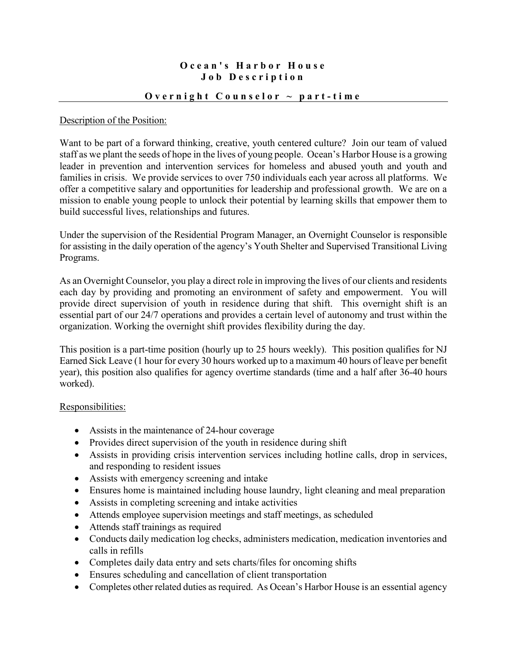## **Ocean's Harbor House Job Description**

### **Overnight Counselor ~ part - time**

### Description of the Position:

Want to be part of a forward thinking, creative, youth centered culture? Join our team of valued staff as we plant the seeds of hope in the lives of young people. Ocean's Harbor House is a growing leader in prevention and intervention services for homeless and abused youth and youth and families in crisis. We provide services to over 750 individuals each year across all platforms. We offer a competitive salary and opportunities for leadership and professional growth. We are on a mission to enable young people to unlock their potential by learning skills that empower them to build successful lives, relationships and futures.

Under the supervision of the Residential Program Manager, an Overnight Counselor is responsible for assisting in the daily operation of the agency's Youth Shelter and Supervised Transitional Living Programs.

As an Overnight Counselor, you play a direct role in improving the lives of our clients and residents each day by providing and promoting an environment of safety and empowerment. You will provide direct supervision of youth in residence during that shift. This overnight shift is an essential part of our 24/7 operations and provides a certain level of autonomy and trust within the organization. Working the overnight shift provides flexibility during the day.

This position is a part-time position (hourly up to 25 hours weekly). This position qualifies for NJ Earned Sick Leave (1 hour for every 30 hours worked up to a maximum 40 hours of leave per benefit year), this position also qualifies for agency overtime standards (time and a half after 36-40 hours worked).

### Responsibilities:

- Assists in the maintenance of 24-hour coverage
- Provides direct supervision of the youth in residence during shift
- Assists in providing crisis intervention services including hotline calls, drop in services, and responding to resident issues
- Assists with emergency screening and intake
- Ensures home is maintained including house laundry, light cleaning and meal preparation
- Assists in completing screening and intake activities
- Attends employee supervision meetings and staff meetings, as scheduled
- Attends staff trainings as required
- Conducts daily medication log checks, administers medication, medication inventories and calls in refills
- Completes daily data entry and sets charts/files for oncoming shifts
- Ensures scheduling and cancellation of client transportation
- Completes other related duties as required. As Ocean's Harbor House is an essential agency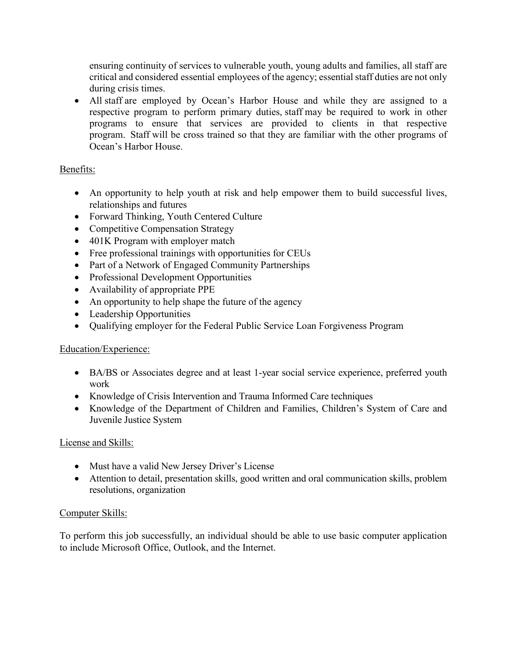ensuring continuity of services to vulnerable youth, young adults and families, all staff are critical and considered essential employees of the agency; essential staff duties are not only during crisis times.

• All staff are employed by Ocean's Harbor House and while they are assigned to a respective program to perform primary duties, staff may be required to work in other programs to ensure that services are provided to clients in that respective program. Staff will be cross trained so that they are familiar with the other programs of Ocean's Harbor House.

# Benefits:

- An opportunity to help youth at risk and help empower them to build successful lives, relationships and futures
- Forward Thinking, Youth Centered Culture
- Competitive Compensation Strategy
- 401K Program with employer match
- Free professional trainings with opportunities for CEUs
- Part of a Network of Engaged Community Partnerships
- Professional Development Opportunities
- Availability of appropriate PPE
- An opportunity to help shape the future of the agency
- Leadership Opportunities
- Qualifying employer for the Federal Public Service Loan Forgiveness Program

# Education/Experience:

- BA/BS or Associates degree and at least 1-year social service experience, preferred youth work
- Knowledge of Crisis Intervention and Trauma Informed Care techniques
- Knowledge of the Department of Children and Families, Children's System of Care and Juvenile Justice System

## License and Skills:

- Must have a valid New Jersey Driver's License
- Attention to detail, presentation skills, good written and oral communication skills, problem resolutions, organization

# Computer Skills:

To perform this job successfully, an individual should be able to use basic computer application to include Microsoft Office, Outlook, and the Internet.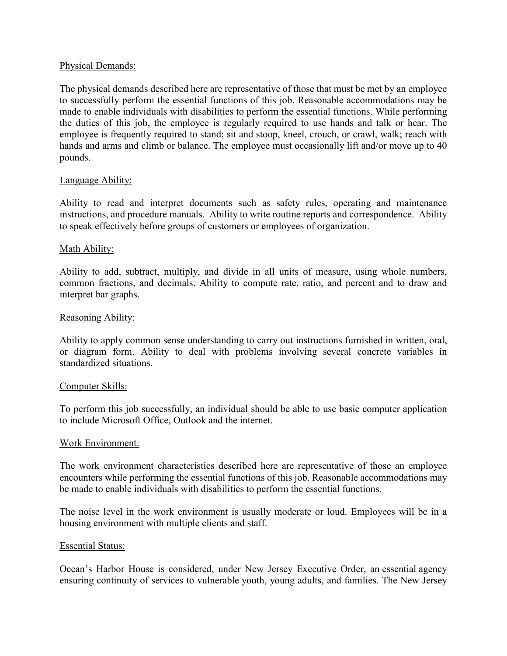#### Physical Demands:

The physical demands described here are representative of those that must be met by an employee to successfully perform the essential functions of this job. Reasonable accommodations may be made to enable individuals with disabilities to perform the essential functions. While performing the duties of this job, the employee is regularly required to use hands and talk or hear. The employee is frequently required to stand; sit and stoop, kneel, crouch, or crawl, walk; reach with hands and arms and climb or balance. The employee must occasionally lift and/or move up to 40 pounds.

#### Language Ability:

Ability to read and interpret documents such as safety rules, operating and maintenance instructions, and procedure manuals. Ability to write routine reports and correspondence. Ability to speak effectively before groups of customers or employees of organization.

#### Math Ability:

Ability to add, subtract, multiply, and divide in all units of measure, using whole numbers, common fractions, and decimals. Ability to compute rate, ratio, and percent and to draw and interpret bar graphs.

#### Reasoning Ability:

Ability to apply common sense understanding to carry out instructions furnished in written, oral, or diagram form. Ability to deal with problems involving several concrete variables in standardized situations.

#### Computer Skills:

To perform this job successfully, an individual should be able to use basic computer application to include Microsoft Office, Outlook and the internet.

#### Work Environment:

The work environment characteristics described here are representative of those an employee encounters while performing the essential functions of this job. Reasonable accommodations may be made to enable individuals with disabilities to perform the essential functions.

The noise level in the work environment is usually moderate or loud. Employees will be in a housing environment with multiple clients and staff.

#### Essential Status:

Ocean's Harbor House is considered, under New Jersey Executive Order, an essential agency ensuring continuity of services to vulnerable youth, young adults, and families. The New Jersey